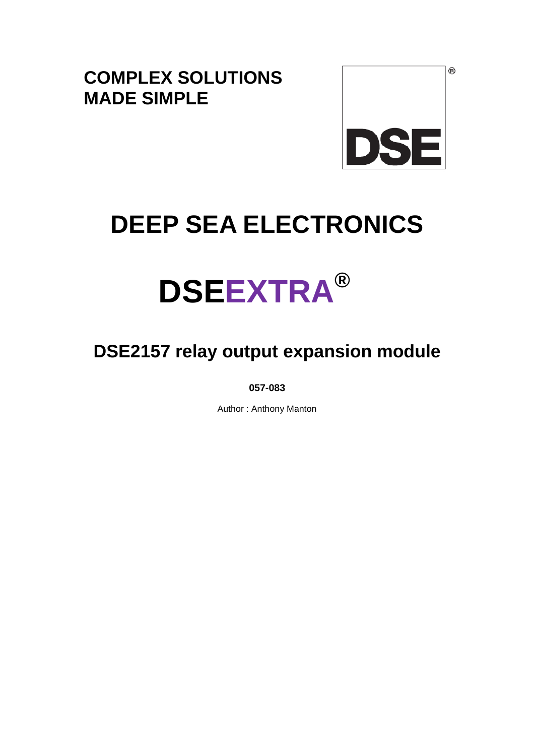**COMPLEX SOLUTIONS MADE SIMPLE**



 $^{\circledR}$ 

# **DEEP SEA ELECTRONICS**

# **DSEEXTRA®**

# **DSE2157 relay output expansion module**

**057-083** 

Author : Anthony Manton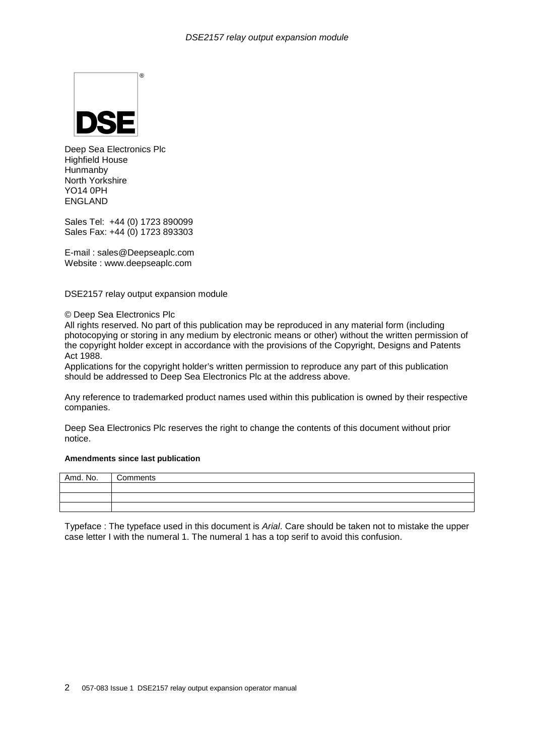

Deep Sea Electronics Plc Highfield House **Hunmanby** North Yorkshire YO14 0PH ENGLAND

Sales Tel: +44 (0) 1723 890099 Sales Fax: +44 (0) 1723 893303

E-mail : sales@Deepseaplc.com Website : www.deepseaplc.com

DSE2157 relay output expansion module

#### © Deep Sea Electronics Plc

All rights reserved. No part of this publication may be reproduced in any material form (including photocopying or storing in any medium by electronic means or other) without the written permission of the copyright holder except in accordance with the provisions of the Copyright, Designs and Patents Act 1988.

Applications for the copyright holder's written permission to reproduce any part of this publication should be addressed to Deep Sea Electronics Plc at the address above.

Any reference to trademarked product names used within this publication is owned by their respective companies.

Deep Sea Electronics Plc reserves the right to change the contents of this document without prior notice.

#### **Amendments since last publication**

| Amd. No. | Comments |
|----------|----------|
|          |          |
|          |          |
|          |          |

Typeface : The typeface used in this document is Arial. Care should be taken not to mistake the upper case letter I with the numeral 1. The numeral 1 has a top serif to avoid this confusion.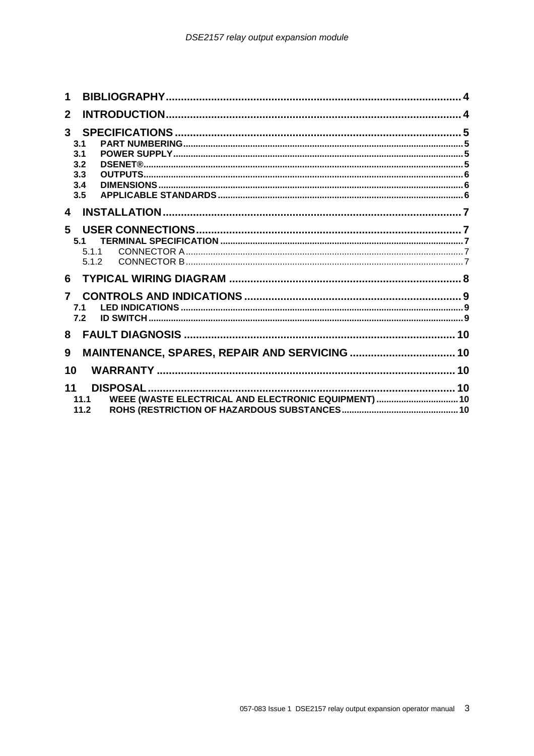| $\mathbf 1$                                                                |  |
|----------------------------------------------------------------------------|--|
| $\mathbf{2}$                                                               |  |
| 3 <sup>1</sup><br>3.1<br>3.1<br>3.2<br>3.3                                 |  |
| 3.4<br>3.5                                                                 |  |
| $\overline{\mathbf{4}}$                                                    |  |
| 5<br>5.1<br>511<br>5.1.2                                                   |  |
| 6.                                                                         |  |
| $\overline{7}$<br>7.1<br>7.2                                               |  |
| 8                                                                          |  |
| 9                                                                          |  |
| 10                                                                         |  |
| 11<br>WEEE (WASTE ELECTRICAL AND ELECTRONIC EQUIPMENT)  10<br>11.1<br>11.2 |  |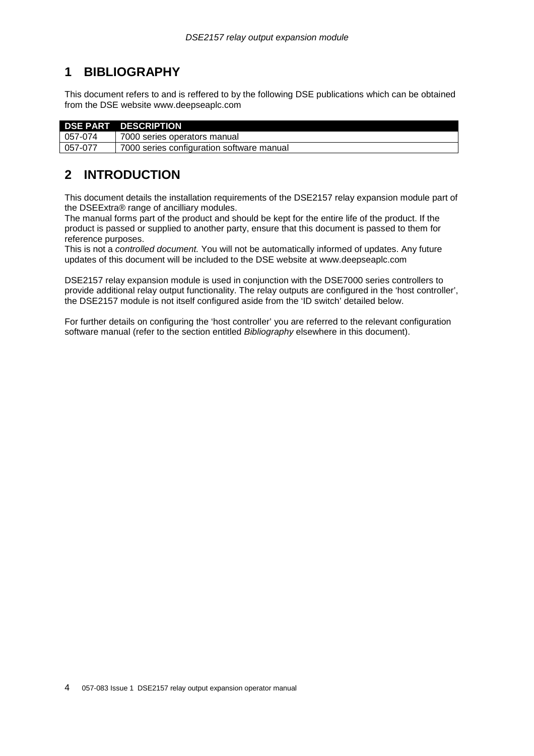# **1 BIBLIOGRAPHY**

This document refers to and is reffered to by the following DSE publications which can be obtained from the DSE website www.deepseaplc.com

|         | <b>DSE PART DESCRIPTION</b>               |
|---------|-------------------------------------------|
| 057-074 | 7000 series operators manual              |
| 057-077 | 7000 series configuration software manual |

# **2 INTRODUCTION**

This document details the installation requirements of the DSE2157 relay expansion module part of the DSEExtra® range of ancilliary modules.

The manual forms part of the product and should be kept for the entire life of the product. If the product is passed or supplied to another party, ensure that this document is passed to them for reference purposes.

This is not a controlled document. You will not be automatically informed of updates. Any future updates of this document will be included to the DSE website at www.deepseaplc.com

DSE2157 relay expansion module is used in conjunction with the DSE7000 series controllers to provide additional relay output functionality. The relay outputs are configured in the 'host controller', the DSE2157 module is not itself configured aside from the 'ID switch' detailed below.

For further details on configuring the 'host controller' you are referred to the relevant configuration software manual (refer to the section entitled *Bibliography* elsewhere in this document).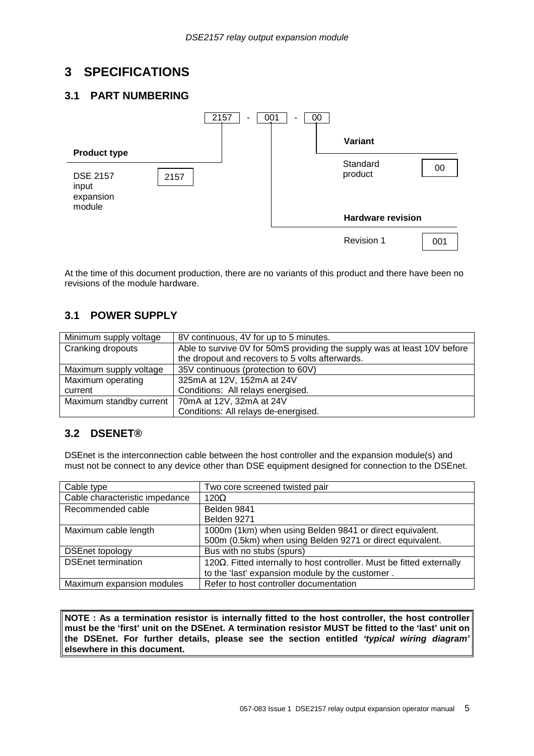# **3 SPECIFICATIONS**

#### **3.1 PART NUMBERING**



At the time of this document production, there are no variants of this product and there have been no revisions of the module hardware.

#### **3.1 POWER SUPPLY**

| Minimum supply voltage  | 8V continuous, 4V for up to 5 minutes.                                   |  |
|-------------------------|--------------------------------------------------------------------------|--|
| Cranking dropouts       | Able to survive 0V for 50mS providing the supply was at least 10V before |  |
|                         | the dropout and recovers to 5 volts afterwards.                          |  |
| Maximum supply voltage  | 35V continuous (protection to 60V)                                       |  |
| Maximum operating       | 325mA at 12V, 152mA at 24V                                               |  |
| current                 | Conditions: All relays energised.                                        |  |
| Maximum standby current | 70mA at 12V, 32mA at 24V                                                 |  |
|                         | Conditions: All relays de-energised.                                     |  |

#### **3.2 DSENET®**

DSEnet is the interconnection cable between the host controller and the expansion module(s) and must not be connect to any device other than DSE equipment designed for connection to the DSEnet.

| Cable type                     | Two core screened twisted pair                                                 |
|--------------------------------|--------------------------------------------------------------------------------|
| Cable characteristic impedance | $120\Omega$                                                                    |
| Recommended cable              | Belden 9841                                                                    |
|                                | Belden 9271                                                                    |
| Maximum cable length           | 1000m (1km) when using Belden 9841 or direct equivalent.                       |
|                                | 500m (0.5km) when using Belden 9271 or direct equivalent.                      |
| <b>DSEnet topology</b>         | Bus with no stubs (spurs)                                                      |
| <b>DSEnet termination</b>      | 120 $\Omega$ . Fitted internally to host controller. Must be fitted externally |
|                                | to the 'last' expansion module by the customer.                                |
| Maximum expansion modules      | Refer to host controller documentation                                         |

**NOTE : As a termination resistor is internally fitted to the host controller, the host controller must be the 'first' unit on the DSEnet. A termination resistor MUST be fitted to the 'last' unit on the DSEnet. For further details, please see the section entitled 'typical wiring diagram' elsewhere in this document.**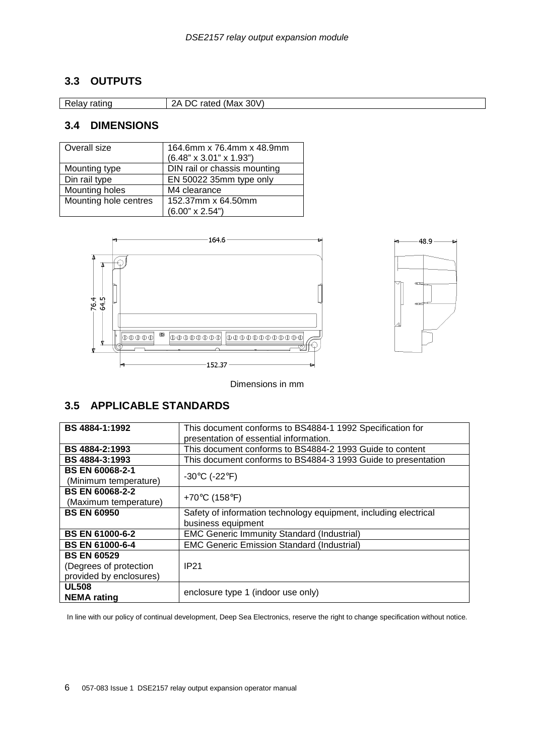### **3.3 OUTPUTS**

Relay rating 2A DC rated (Max 30V)

#### **3.4 DIMENSIONS**

| Overall size          | 164.6mm x 76.4mm x 48.9mm           |
|-----------------------|-------------------------------------|
|                       | $(6.48" \times 3.01" \times 1.93")$ |
| Mounting type         | DIN rail or chassis mounting        |
| Din rail type         | EN 50022 35mm type only             |
| Mounting holes        | M4 clearance                        |
| Mounting hole centres | 152.37mm x 64.50mm                  |
|                       | $(6.00" \times 2.54")$              |





Dimensions in mm

## **3.5 APPLICABLE STANDARDS**

| BS 4884-1:1992          | This document conforms to BS4884-1 1992 Specification for        |
|-------------------------|------------------------------------------------------------------|
|                         | presentation of essential information.                           |
| BS 4884-2:1993          | This document conforms to BS4884-2 1993 Guide to content         |
| BS 4884-3:1993          | This document conforms to BS4884-3 1993 Guide to presentation    |
| <b>BS EN 60068-2-1</b>  |                                                                  |
| (Minimum temperature)   | -30 $\mathrm{^{\circ}C}$ (-22 $\mathrm{^{\circ}F}$ )             |
| <b>BS EN 60068-2-2</b>  |                                                                  |
| (Maximum temperature)   | +70 $\degree$ C (158 $\degree$ F)                                |
| <b>BS EN 60950</b>      | Safety of information technology equipment, including electrical |
|                         | business equipment                                               |
| <b>BS EN 61000-6-2</b>  | <b>EMC Generic Immunity Standard (Industrial)</b>                |
| <b>BS EN 61000-6-4</b>  | <b>EMC Generic Emission Standard (Industrial)</b>                |
| <b>BS EN 60529</b>      |                                                                  |
| (Degrees of protection  | <b>IP21</b>                                                      |
| provided by enclosures) |                                                                  |
| <b>UL508</b>            | enclosure type 1 (indoor use only)                               |
| <b>NEMA</b> rating      |                                                                  |

In line with our policy of continual development, Deep Sea Electronics, reserve the right to change specification without notice.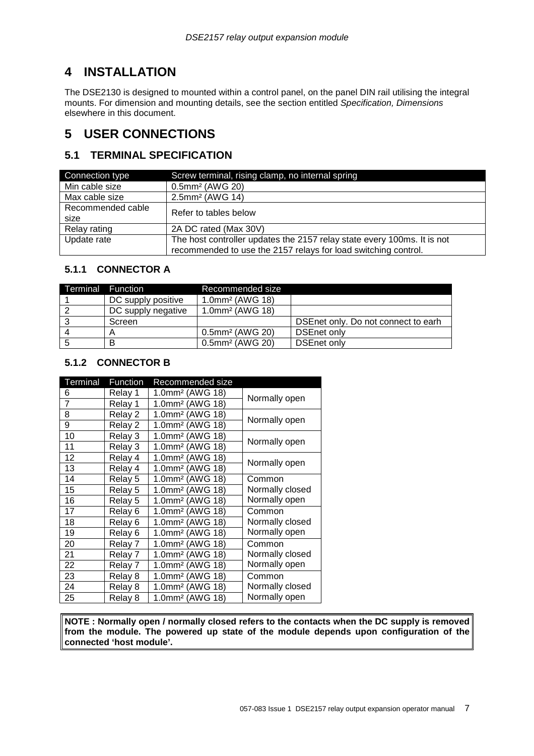# **4 INSTALLATION**

The DSE2130 is designed to mounted within a control panel, on the panel DIN rail utilising the integral mounts. For dimension and mounting details, see the section entitled Specification, Dimensions elsewhere in this document.

# **5 USER CONNECTIONS**

#### **5.1 TERMINAL SPECIFICATION**

| Connection type           | Screw terminal, rising clamp, no internal spring                                                                                          |
|---------------------------|-------------------------------------------------------------------------------------------------------------------------------------------|
| Min cable size            | 0.5mm <sup>2</sup> (AWG 20)                                                                                                               |
| Max cable size            | 2.5mm <sup>2</sup> (AWG 14)                                                                                                               |
| Recommended cable<br>size | Refer to tables below                                                                                                                     |
| Relay rating              | 2A DC rated (Max 30V)                                                                                                                     |
| Update rate               | The host controller updates the 2157 relay state every 100ms. It is not<br>recommended to use the 2157 relays for load switching control. |

#### **5.1.1 CONNECTOR A**

| Terminal | <b>Function</b>    | Recommended size            |                                     |
|----------|--------------------|-----------------------------|-------------------------------------|
|          | DC supply positive | 1.0mm <sup>2</sup> (AWG 18) |                                     |
|          | DC supply negative | 1.0mm <sup>2</sup> (AWG 18) |                                     |
|          | Screen             |                             | DSEnet only. Do not connect to earh |
|          |                    | 0.5mm <sup>2</sup> (AWG 20) | DSEnet only                         |
| 5        |                    | 0.5mm <sup>2</sup> (AWG 20) | DSEnet only                         |

#### **5.1.2 CONNECTOR B**

| Terminal       | Function | Recommended size            |                 |
|----------------|----------|-----------------------------|-----------------|
| 6              | Relay 1  | 1.0mm <sup>2</sup> (AWG 18) | Normally open   |
| $\overline{7}$ | Relay 1  | 1.0mm <sup>2</sup> (AWG 18) |                 |
| 8              | Relay 2  | 1.0mm <sup>2</sup> (AWG 18) | Normally open   |
| 9              | Relay 2  | 1.0mm <sup>2</sup> (AWG 18) |                 |
| 10             | Relay 3  | 1.0mm <sup>2</sup> (AWG 18) |                 |
| 11             | Relay 3  | 1.0mm <sup>2</sup> (AWG 18) | Normally open   |
| 12             | Relay 4  | 1.0mm <sup>2</sup> (AWG 18) |                 |
| 13             | Relay 4  | 1.0mm <sup>2</sup> (AWG 18) | Normally open   |
| 14             | Relay 5  | 1.0mm <sup>2</sup> (AWG 18) | Common          |
| 15             | Relay 5  | 1.0mm <sup>2</sup> (AWG 18) | Normally closed |
| 16             | Relay 5  | 1.0mm <sup>2</sup> (AWG 18) | Normally open   |
| 17             | Relay 6  | 1.0mm <sup>2</sup> (AWG 18) | Common          |
| 18             | Relay 6  | 1.0mm <sup>2</sup> (AWG 18) | Normally closed |
| 19             | Relay 6  | 1.0mm <sup>2</sup> (AWG 18) | Normally open   |
| 20             | Relay 7  | 1.0mm <sup>2</sup> (AWG 18) | Common          |
| 21             | Relay 7  | 1.0mm <sup>2</sup> (AWG 18) | Normally closed |
| 22             | Relay 7  | 1.0mm <sup>2</sup> (AWG 18) | Normally open   |
| 23             | Relay 8  | 1.0mm <sup>2</sup> (AWG 18) | Common          |
| 24             | Relay 8  | 1.0mm <sup>2</sup> (AWG 18) | Normally closed |
| 25             | Relay 8  | 1.0mm <sup>2</sup> (AWG 18) | Normally open   |

**NOTE : Normally open / normally closed refers to the contacts when the DC supply is removed from the module. The powered up state of the module depends upon configuration of the connected 'host module'.**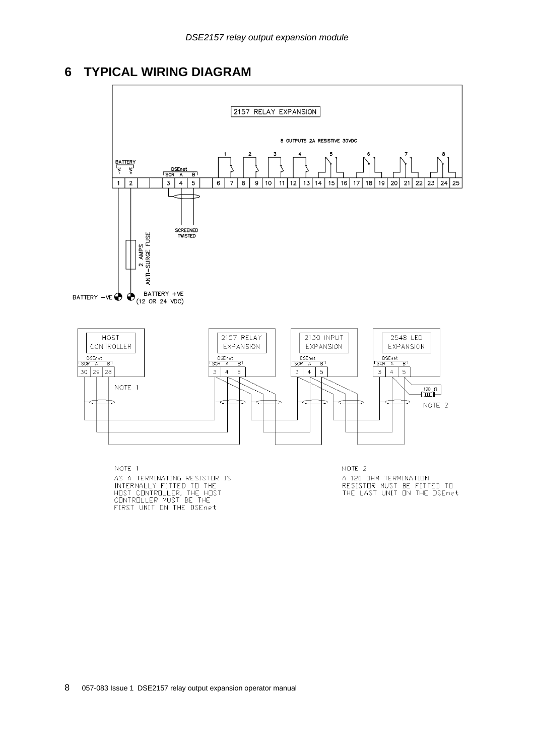# **6 TYPICAL WIRING DIAGRAM**



NOTE THE RESISTER IS<br>INTERNALLY FITTED TO THE<br>HOST CONTROLLER, THE HOST<br>CONTROLLER MUST BE THE<br>FIRST UNIT ON THE DSEnet

NOTE 1<br>A 120 DHM TERMINATION<br>RESISTOR MUST BE FITTED TO<br>THE LAST UNIT ON THE DSEnet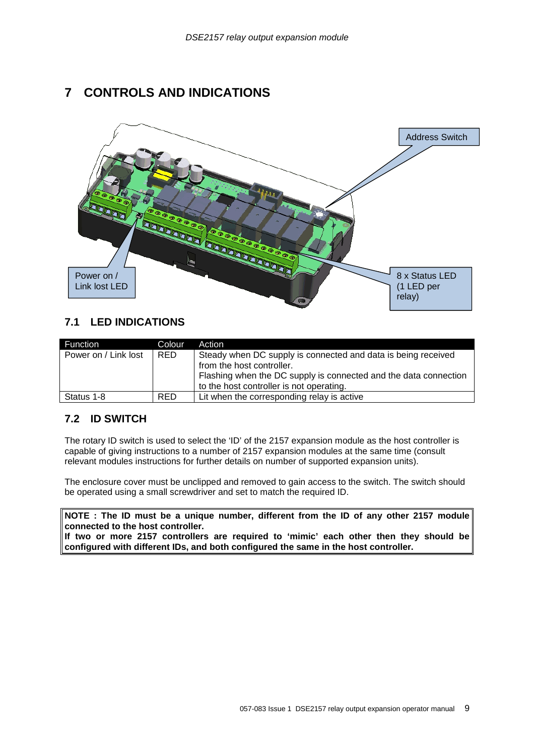# **7 CONTROLS AND INDICATIONS**



#### **7.1 LED INDICATIONS**

| Function             | Colour.    | Action                                                           |  |
|----------------------|------------|------------------------------------------------------------------|--|
| Power on / Link lost | <b>RED</b> | Steady when DC supply is connected and data is being received    |  |
|                      |            | from the host controller.                                        |  |
|                      |            | Flashing when the DC supply is connected and the data connection |  |
|                      |            | to the host controller is not operating.                         |  |
| Status 1-8           | <b>RED</b> | Lit when the corresponding relay is active                       |  |

## **7.2 ID SWITCH**

The rotary ID switch is used to select the 'ID' of the 2157 expansion module as the host controller is capable of giving instructions to a number of 2157 expansion modules at the same time (consult relevant modules instructions for further details on number of supported expansion units).

The enclosure cover must be unclipped and removed to gain access to the switch. The switch should be operated using a small screwdriver and set to match the required ID.

**NOTE : The ID must be a unique number, different from the ID of any other 2157 module connected to the host controller.** 

**If two or more 2157 controllers are required to 'mimic' each other then they should be configured with different IDs, and both configured the same in the host controller.**